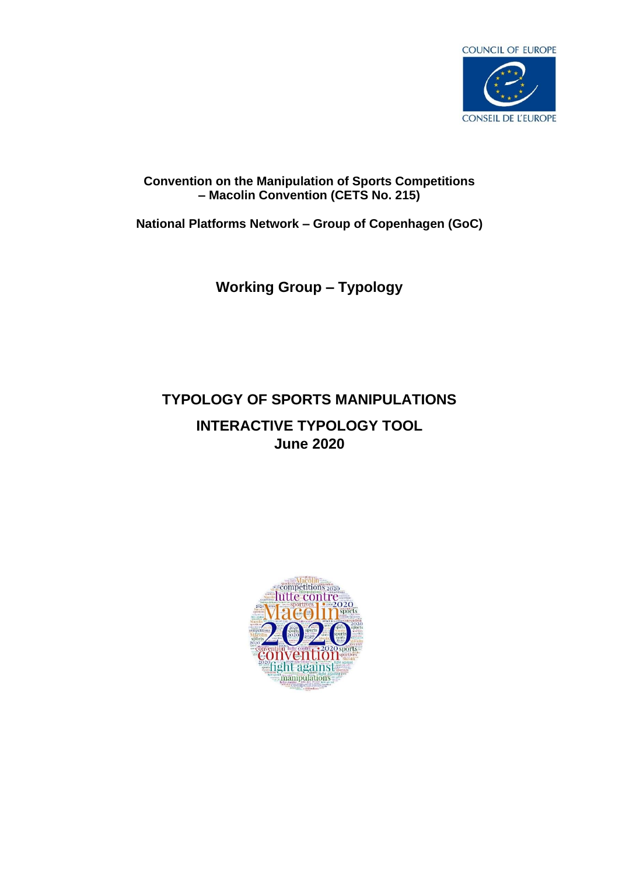

# **Convention on the Manipulation of Sports Competitions – Macolin Convention (CETS No. 215)**

**National Platforms Network – Group of Copenhagen (GoC)**

# **Working Group – Typology**

# **TYPOLOGY OF SPORTS MANIPULATIONS INTERACTIVE TYPOLOGY TOOL June 2020**

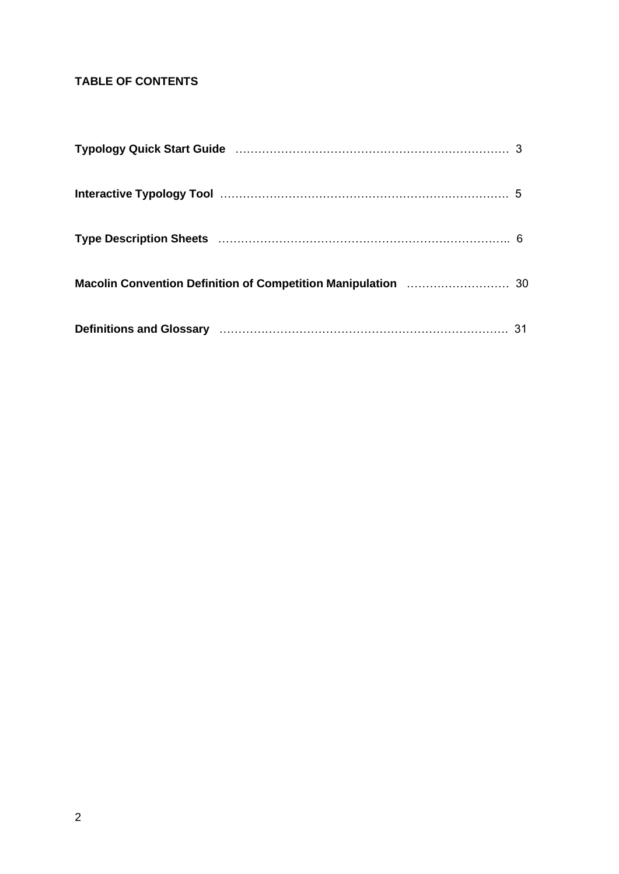# **TABLE OF CONTENTS**

| Typology Quick Start Guide (111) 1997 (1998) 79 March 1998 (1998) 79 March 1998 (1998) 79 March 1998 (1998) 7 |  |
|---------------------------------------------------------------------------------------------------------------|--|
|                                                                                                               |  |
|                                                                                                               |  |
|                                                                                                               |  |
|                                                                                                               |  |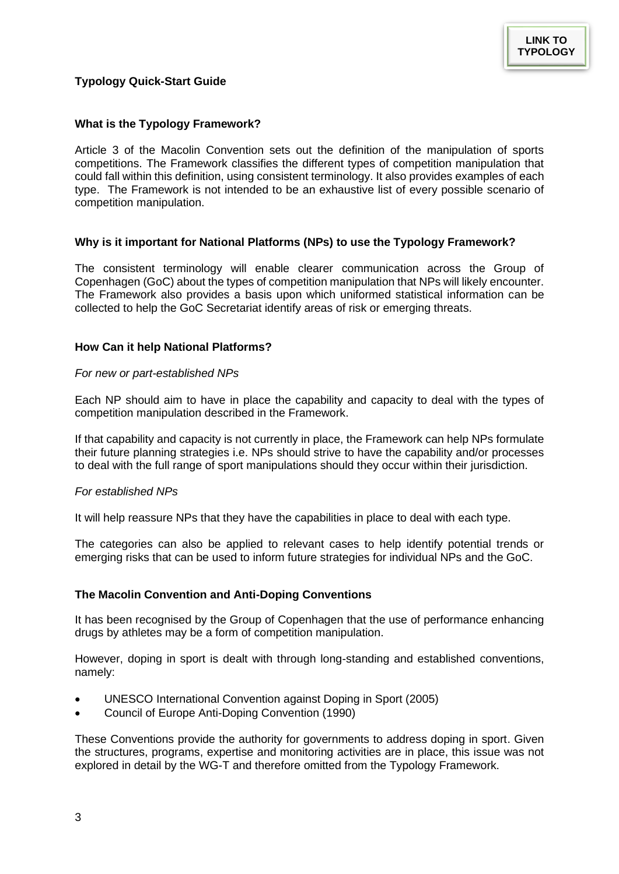## <span id="page-2-1"></span><span id="page-2-0"></span>**Typology Quick-Start Guide**

#### **What is the Typology Framework?**

Article 3 of the Macolin Convention sets out the definition of the manipulation of sports competitions. The Framework classifies the different types of competition manipulation that could fall within this definition, using consistent terminology. It also provides examples of each type. The Framework is not intended to be an exhaustive list of every possible scenario of competition manipulation.

#### **Why is it important for National Platforms (NPs) to use the Typology Framework?**

The consistent terminology will enable clearer communication across the Group of Copenhagen (GoC) about the types of competition manipulation that NPs will likely encounter. The Framework also provides a basis upon which uniformed statistical information can be collected to help the GoC Secretariat identify areas of risk or emerging threats.

## **How Can it help National Platforms?**

#### *For new or part-established NPs*

Each NP should aim to have in place the capability and capacity to deal with the types of competition manipulation described in the Framework.

If that capability and capacity is not currently in place, the Framework can help NPs formulate their future planning strategies i.e. NPs should strive to have the capability and/or processes to deal with the full range of sport manipulations should they occur within their jurisdiction.

#### *For established NPs*

It will help reassure NPs that they have the capabilities in place to deal with each type.

The categories can also be applied to relevant cases to help identify potential trends or emerging risks that can be used to inform future strategies for individual NPs and the GoC.

## **The Macolin Convention and Anti-Doping Conventions**

It has been recognised by the Group of Copenhagen that the use of performance enhancing drugs by athletes may be a form of competition manipulation.

However, doping in sport is dealt with through long-standing and established conventions, namely:

- UNESCO International Convention against Doping in Sport (2005)
- Council of Europe Anti-Doping Convention (1990)

These Conventions provide the authority for governments to address doping in sport. Given the structures, programs, expertise and monitoring activities are in place, this issue was not explored in detail by the WG-T and therefore omitted from the Typology Framework.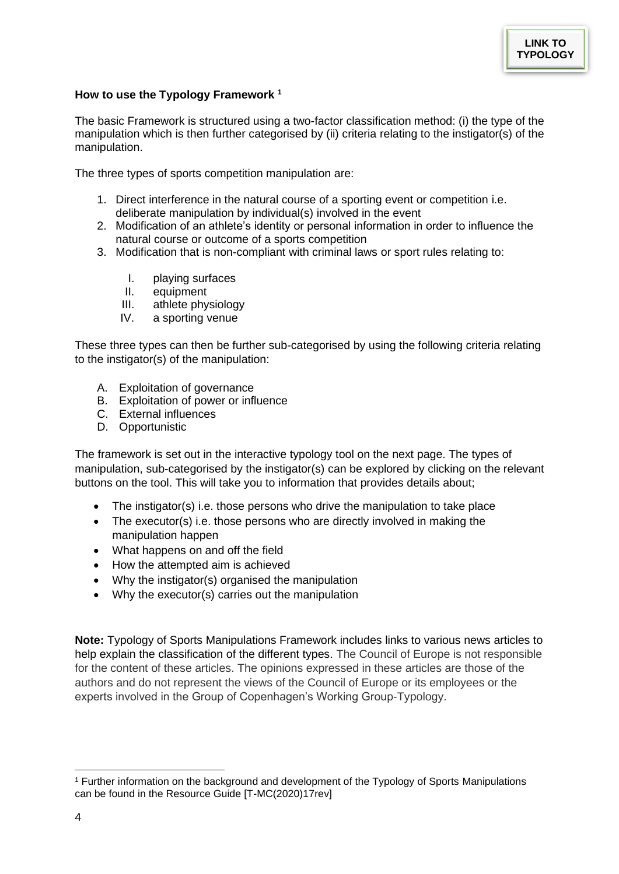## **How to use the Typology Framework <sup>1</sup>**

The basic Framework is structured using a two-factor classification method: (i) the type of the manipulation which is then further categorised by (ii) criteria relating to the instigator(s) of the manipulation.

The three types of sports competition manipulation are:

- 1. Direct interference in the natural course of a sporting event or competition i.e. deliberate manipulation by individual(s) involved in the event
- 2. Modification of an athlete's identity or personal information in order to influence the natural course or outcome of a sports competition
- 3. Modification that is non-compliant with criminal laws or sport rules relating to:
	- I. playing surfaces
	- II. equipment
	- III. athlete physiology
	- IV. a sporting venue

These three types can then be further sub-categorised by using the following criteria relating to the instigator(s) of the manipulation:

- A. Exploitation of governance
- B. Exploitation of power or influence
- C. External influences
- D. Opportunistic

The framework is set out in the interactive typology tool on the next page. The types of manipulation, sub-categorised by the instigator(s) can be explored by clicking on the relevant buttons on the tool. This will take you to information that provides details about;

- The instigator(s) i.e. those persons who drive the manipulation to take place
- The executor(s) i.e. those persons who are directly involved in making the manipulation happen
- What happens on and off the field
- How the attempted aim is achieved
- Why the instigator(s) organised the manipulation
- Why the executor(s) carries out the manipulation

**Note:** Typology of Sports Manipulations Framework includes links to various news articles to help explain the classification of the different types. The Council of Europe is not responsible for the content of these articles. The opinions expressed in these articles are those of the authors and do not represent the views of the Council of Europe or its employees or the experts involved in the Group of Copenhagen's Working Group-Typology.

<sup>1</sup> Further information on the background and development of the Typology of Sports Manipulations can be found in the Resource Guide [T-MC(2020)17rev]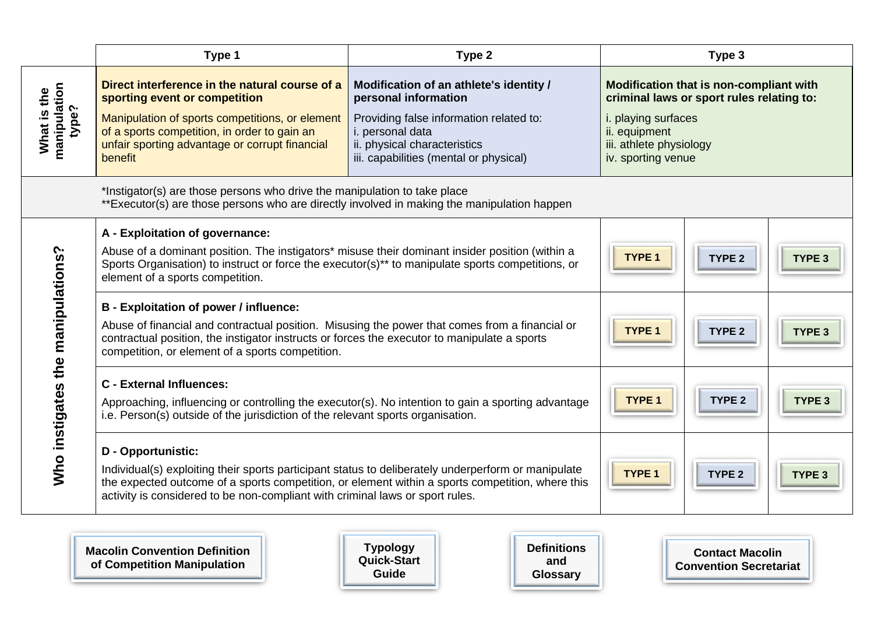|                                      | Type 1                                                                                                                                                                                                                                                                                                                                   | Type 2                                                                                                                                                                                                   | Type 3                                                                                                                                                                        |                   |                   |  |  |
|--------------------------------------|------------------------------------------------------------------------------------------------------------------------------------------------------------------------------------------------------------------------------------------------------------------------------------------------------------------------------------------|----------------------------------------------------------------------------------------------------------------------------------------------------------------------------------------------------------|-------------------------------------------------------------------------------------------------------------------------------------------------------------------------------|-------------------|-------------------|--|--|
| manipulation<br>What is the<br>type? | Direct interference in the natural course of a<br>sporting event or competition<br>Manipulation of sports competitions, or element<br>of a sports competition, in order to gain an<br>unfair sporting advantage or corrupt financial<br>benefit                                                                                          | Modification of an athlete's identity /<br>personal information<br>Providing false information related to:<br>i. personal data<br>ii. physical characteristics<br>iii. capabilities (mental or physical) | Modification that is non-compliant with<br>criminal laws or sport rules relating to:<br>i. playing surfaces<br>ii. equipment<br>iii. athlete physiology<br>iv. sporting venue |                   |                   |  |  |
|                                      | *Instigator(s) are those persons who drive the manipulation to take place<br>**Executor(s) are those persons who are directly involved in making the manipulation happen                                                                                                                                                                 |                                                                                                                                                                                                          |                                                                                                                                                                               |                   |                   |  |  |
| Who instigates the manipulations?    | A - Exploitation of governance:<br>Abuse of a dominant position. The instigators* misuse their dominant insider position (within a<br>Sports Organisation) to instruct or force the executor(s) <sup>**</sup> to manipulate sports competitions, or<br>element of a sports competition.<br><b>B</b> - Exploitation of power / influence: |                                                                                                                                                                                                          | <b>TYPE 1</b>                                                                                                                                                                 | TYPE <sub>2</sub> | TYPE <sub>3</sub> |  |  |
|                                      | Abuse of financial and contractual position. Misusing the power that comes from a financial or<br>contractual position, the instigator instructs or forces the executor to manipulate a sports<br>competition, or element of a sports competition.                                                                                       |                                                                                                                                                                                                          | TYPE <sub>1</sub>                                                                                                                                                             | TYPE <sub>2</sub> | TYPE 3            |  |  |
|                                      | <b>C</b> - External Influences:<br>Approaching, influencing or controlling the executor(s). No intention to gain a sporting advantage<br>i.e. Person(s) outside of the jurisdiction of the relevant sports organisation.                                                                                                                 |                                                                                                                                                                                                          | <b>TYPE 1</b>                                                                                                                                                                 | TYPE <sub>2</sub> | TYPE <sub>3</sub> |  |  |
|                                      | <b>D</b> - Opportunistic:<br>Individual(s) exploiting their sports participant status to deliberately underperform or manipulate<br>the expected outcome of a sports competition, or element within a sports competition, where this<br>activity is considered to be non-compliant with criminal laws or sport rules.                    |                                                                                                                                                                                                          | <b>TYPE 1</b>                                                                                                                                                                 | TYPE <sub>2</sub> | TYPE <sub>3</sub> |  |  |

<span id="page-4-0"></span>**[Macolin Convention Definition](#page-29-1)  of Competition Manipulation**

5

**Typology [Quick-Start](#page-2-1)  Guide**

**[Definitions](#page-30-1)  and Glossary**

**Contact Macolin [Convention Secretariat](mailto:sport.t-mc@coe.int?subject=Typology%20question)**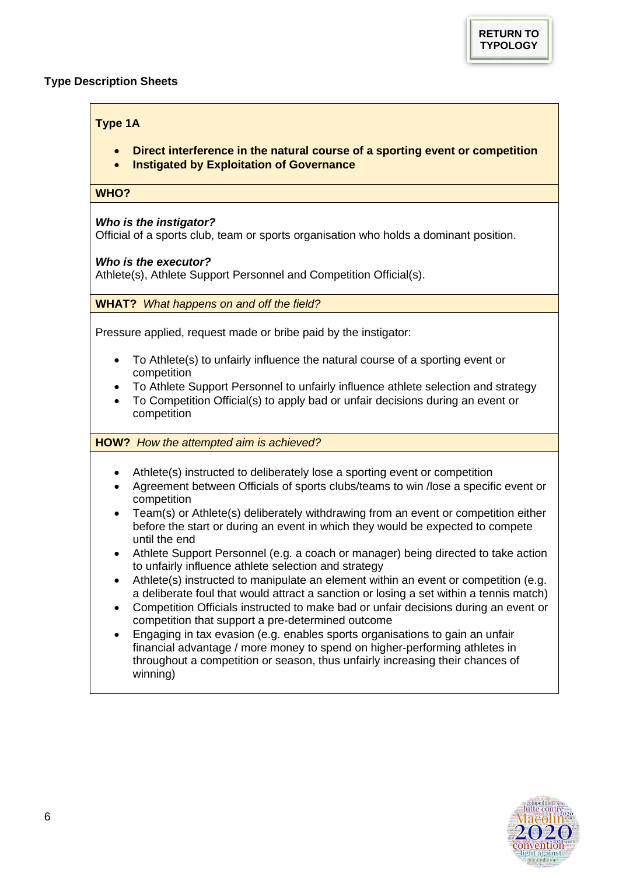## <span id="page-5-1"></span><span id="page-5-0"></span>**Type Description Sheets**

## **Type 1A**

- **Direct interference in the natural course of a sporting event or competition**
- **Instigated by Exploitation of Governance**

## **WHO?**

## *Who is the instigator?*

Official of a sports club, team or sports organisation who holds a dominant position.

## *Who is the executor?*

Athlete(s), Athlete Support Personnel and Competition Official(s).

## **WHAT?** *What happens on and off the field?*

Pressure applied, request made or bribe paid by the instigator:

- To Athlete(s) to unfairly influence the natural course of a sporting event or competition
- To Athlete Support Personnel to unfairly influence athlete selection and strategy
- To Competition Official(s) to apply bad or unfair decisions during an event or competition

## **HOW?** *How the attempted aim is achieved?*

- Athlete(s) instructed to deliberately lose a sporting event or competition
- Agreement between Officials of sports clubs/teams to win /lose a specific event or competition
- Team(s) or Athlete(s) deliberately withdrawing from an event or competition either before the start or during an event in which they would be expected to compete until the end
- Athlete Support Personnel (e.g. a coach or manager) being directed to take action to unfairly influence athlete selection and strategy
- Athlete(s) instructed to manipulate an element within an event or competition (e.g. a deliberate foul that would attract a sanction or losing a set within a tennis match)
- Competition Officials instructed to make bad or unfair decisions during an event or competition that support a pre-determined outcome
- Engaging in tax evasion (e.g. enables sports organisations to gain an unfair financial advantage / more money to spend on higher-performing athletes in throughout a competition or season, thus unfairly increasing their chances of winning)

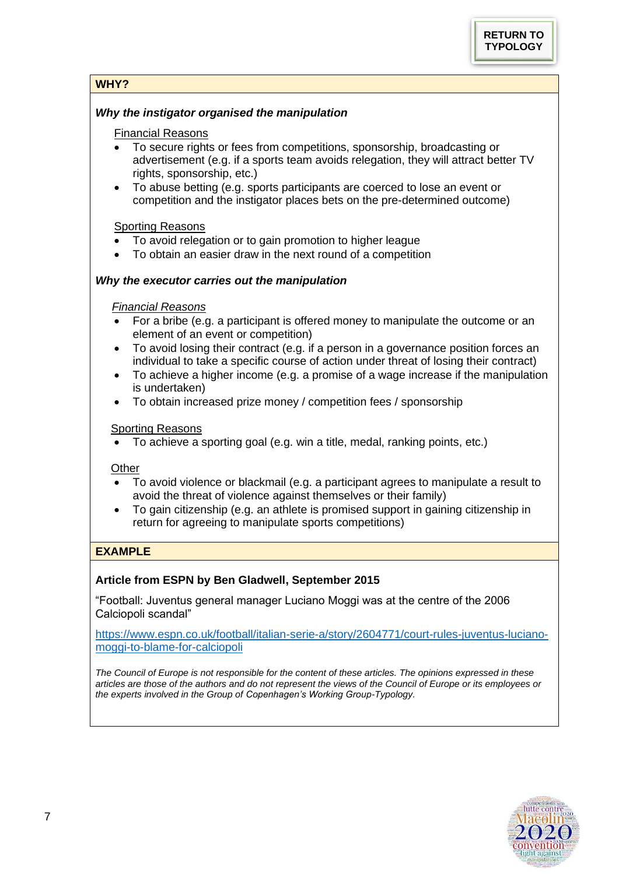# **WHY?**

## *Why the instigator organised the manipulation*

## Financial Reasons

- To secure rights or fees from competitions, sponsorship, broadcasting or advertisement (e.g. if a sports team avoids relegation, they will attract better TV rights, sponsorship, etc.)
- To abuse betting (e.g. sports participants are coerced to lose an event or competition and the instigator places bets on the pre-determined outcome)

## **Sporting Reasons**

- To avoid relegation or to gain promotion to higher league
- To obtain an easier draw in the next round of a competition

## *Why the executor carries out the manipulation*

## *Financial Reasons*

- For a bribe (e.g. a participant is offered money to manipulate the outcome or an element of an event or competition)
- To avoid losing their contract (e.g. if a person in a governance position forces an individual to take a specific course of action under threat of losing their contract)
- To achieve a higher income (e.g. a promise of a wage increase if the manipulation is undertaken)
- To obtain increased prize money / competition fees / sponsorship

## Sporting Reasons

• To achieve a sporting goal (e.g. win a title, medal, ranking points, etc.)

## **Other**

- To avoid violence or blackmail (e.g. a participant agrees to manipulate a result to avoid the threat of violence against themselves or their family)
- To gain citizenship (e.g. an athlete is promised support in gaining citizenship in return for agreeing to manipulate sports competitions)

# **EXAMPLE**

# **Article from ESPN by Ben Gladwell, September 2015**

"Football: Juventus general manager Luciano Moggi was at the centre of the 2006 Calciopoli scandal"

[https://www.espn.co.uk/football/italian-serie-a/story/2604771/court-rules-juventus-luciano](https://www.espn.co.uk/football/italian-serie-a/story/2604771/court-rules-juventus-luciano-moggi-to-blame-for-calciopoli)[moggi-to-blame-for-calciopoli](https://www.espn.co.uk/football/italian-serie-a/story/2604771/court-rules-juventus-luciano-moggi-to-blame-for-calciopoli)

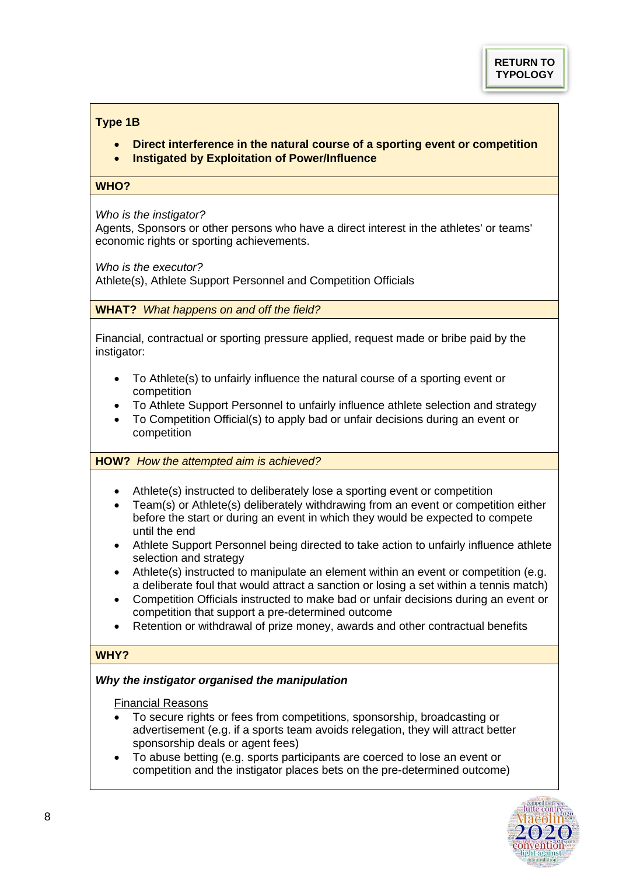# <span id="page-7-0"></span>**Type 1B**

- **Direct interference in the natural course of a sporting event or competition**
- **Instigated by Exploitation of Power/Influence**

## **WHO?**

*Who is the instigator?*

Agents, Sponsors or other persons who have a direct interest in the athletes' or teams' economic rights or sporting achievements.

*Who is the executor?*

Athlete(s), Athlete Support Personnel and Competition Officials

**WHAT?** *What happens on and off the field?*

Financial, contractual or sporting pressure applied, request made or bribe paid by the instigator:

- To Athlete(s) to unfairly influence the natural course of a sporting event or competition
- To Athlete Support Personnel to unfairly influence athlete selection and strategy
- To Competition Official(s) to apply bad or unfair decisions during an event or competition

**HOW?** *How the attempted aim is achieved?*

- Athlete(s) instructed to deliberately lose a sporting event or competition
- Team(s) or Athlete(s) deliberately withdrawing from an event or competition either before the start or during an event in which they would be expected to compete until the end
- Athlete Support Personnel being directed to take action to unfairly influence athlete selection and strategy
- Athlete(s) instructed to manipulate an element within an event or competition (e.g. a deliberate foul that would attract a sanction or losing a set within a tennis match)
- Competition Officials instructed to make bad or unfair decisions during an event or competition that support a pre-determined outcome
- Retention or withdrawal of prize money, awards and other contractual benefits

# **WHY?**

## *Why the instigator organised the manipulation*

Financial Reasons

- To secure rights or fees from competitions, sponsorship, broadcasting or advertisement (e.g. if a sports team avoids relegation, they will attract better sponsorship deals or agent fees)
- To abuse betting (e.g. sports participants are coerced to lose an event or competition and the instigator places bets on the pre-determined outcome)

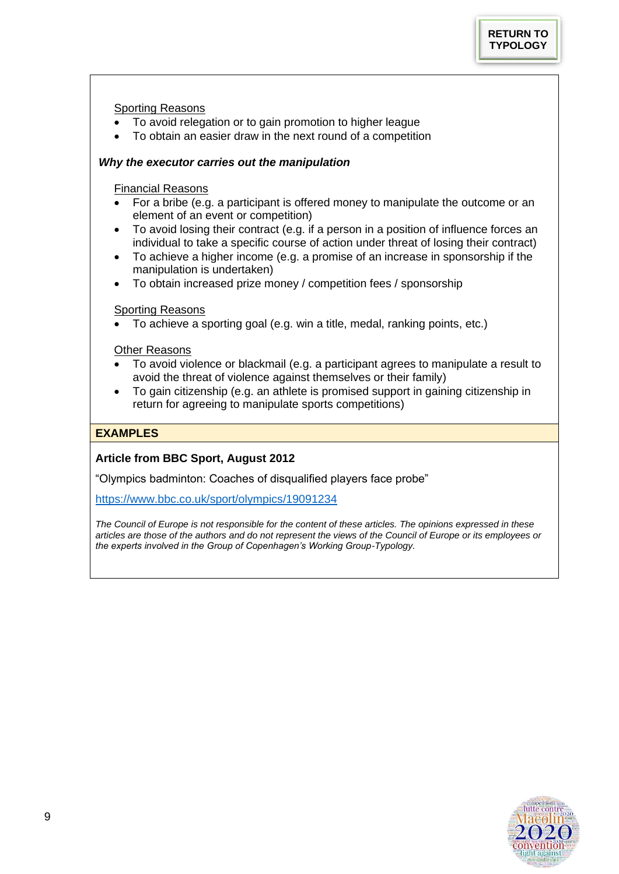## Sporting Reasons

- To avoid relegation or to gain promotion to higher league
- To obtain an easier draw in the next round of a competition

## *Why the executor carries out the manipulation*

## Financial Reasons

- For a bribe (e.g. a participant is offered money to manipulate the outcome or an element of an event or competition)
- To avoid losing their contract (e.g. if a person in a position of influence forces an individual to take a specific course of action under threat of losing their contract)
- To achieve a higher income (e.g. a promise of an increase in sponsorship if the manipulation is undertaken)
- To obtain increased prize money / competition fees / sponsorship

## Sporting Reasons

• To achieve a sporting goal (e.g. win a title, medal, ranking points, etc.)

## Other Reasons

- To avoid violence or blackmail (e.g. a participant agrees to manipulate a result to avoid the threat of violence against themselves or their family)
- To gain citizenship (e.g. an athlete is promised support in gaining citizenship in return for agreeing to manipulate sports competitions)

## **EXAMPLES**

# **Article from BBC Sport, August 2012**

"Olympics badminton: Coaches of disqualified players face probe"

<https://www.bbc.co.uk/sport/olympics/19091234>

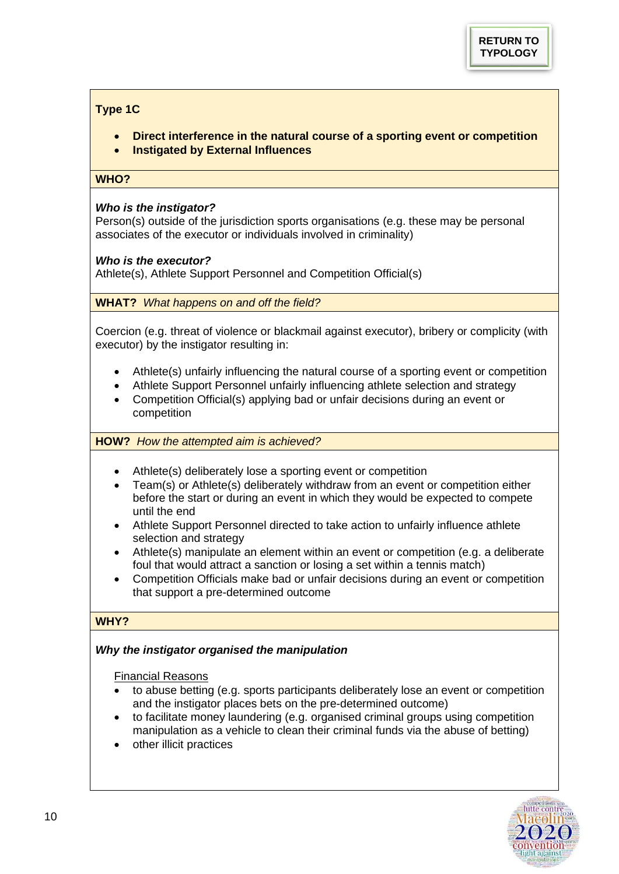# <span id="page-9-0"></span>**Type 1C**

- **Direct interference in the natural course of a sporting event or competition**
- **Instigated by External Influences**

#### WHO?

## *Who is the instigator?*

Person(s) outside of the jurisdiction sports organisations (e.g. these may be personal associates of the executor or individuals involved in criminality)

## *Who is the executor?*

Athlete(s), Athlete Support Personnel and Competition Official(s)

**WHAT?** *What happens on and off the field?*

Coercion (e.g. threat of violence or blackmail against executor), bribery or complicity (with executor) by the instigator resulting in:

- Athlete(s) unfairly influencing the natural course of a sporting event or competition
- Athlete Support Personnel unfairly influencing athlete selection and strategy
- Competition Official(s) applying bad or unfair decisions during an event or competition

**HOW?** *How the attempted aim is achieved?*

- Athlete(s) deliberately lose a sporting event or competition
- Team(s) or Athlete(s) deliberately withdraw from an event or competition either before the start or during an event in which they would be expected to compete until the end
- Athlete Support Personnel directed to take action to unfairly influence athlete selection and strategy
- Athlete(s) manipulate an element within an event or competition (e.g. a deliberate foul that would attract a sanction or losing a set within a tennis match)
- Competition Officials make bad or unfair decisions during an event or competition that support a pre-determined outcome

## **WHY?**

# *Why the instigator organised the manipulation*

Financial Reasons

- to abuse betting (e.g. sports participants deliberately lose an event or competition and the instigator places bets on the pre-determined outcome)
- to facilitate money laundering (e.g. organised criminal groups using competition manipulation as a vehicle to clean their criminal funds via the abuse of betting)
- other illicit practices

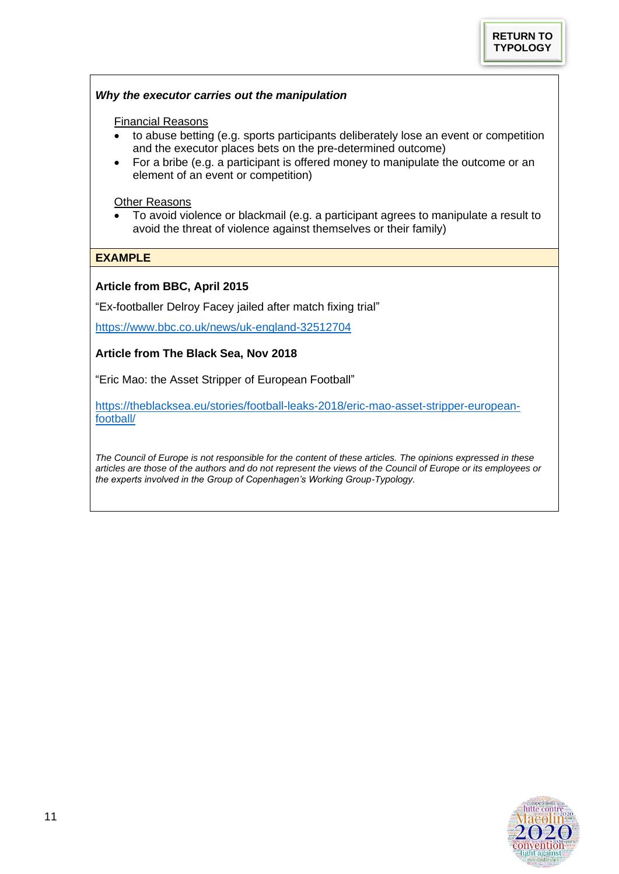## *Why the executor carries out the manipulation*

#### Financial Reasons

- to abuse betting (e.g. sports participants deliberately lose an event or competition and the executor places bets on the pre-determined outcome)
- For a bribe (e.g. a participant is offered money to manipulate the outcome or an element of an event or competition)

Other Reasons

• To avoid violence or blackmail (e.g. a participant agrees to manipulate a result to avoid the threat of violence against themselves or their family)

#### **EXAMPLE**

## **Article from BBC, April 2015**

"Ex-footballer Delroy Facey jailed after match fixing trial"

<https://www.bbc.co.uk/news/uk-england-32512704>

#### **Article from The Black Sea, Nov 2018**

"Eric Mao: the Asset Stripper of European Football"

[https://theblacksea.eu/stories/football-leaks-2018/eric-mao-asset-stripper-european](https://theblacksea.eu/stories/football-leaks-2018/eric-mao-asset-stripper-european-football/)[football/](https://theblacksea.eu/stories/football-leaks-2018/eric-mao-asset-stripper-european-football/)

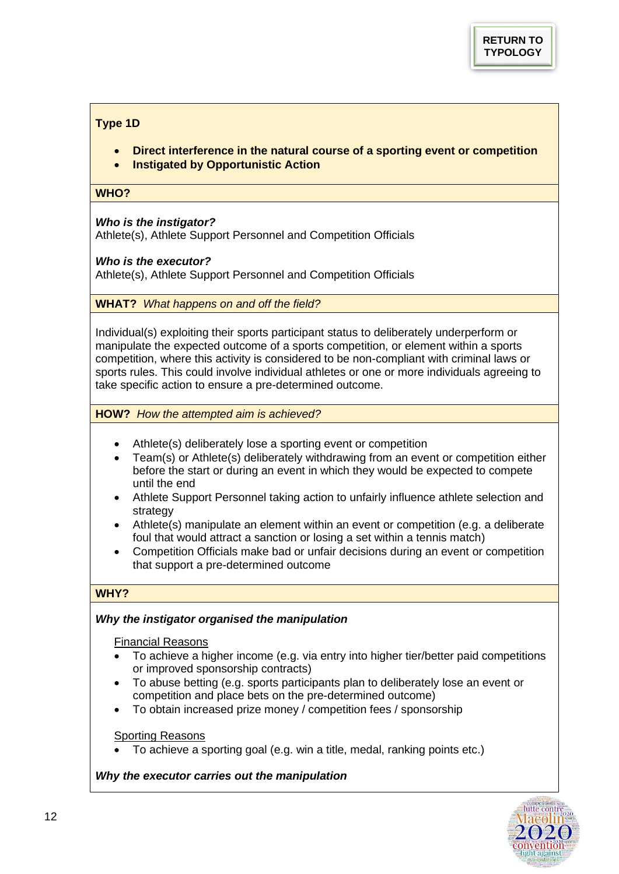# <span id="page-11-0"></span>**Type 1D**

- **Direct interference in the natural course of a sporting event or competition**
- **Instigated by Opportunistic Action**

## **WHO?**

## *Who is the instigator?*

Athlete(s), Athlete Support Personnel and Competition Officials

## *Who is the executor?*

Athlete(s), Athlete Support Personnel and Competition Officials

**WHAT?** *What happens on and off the field?*

Individual(s) exploiting their sports participant status to deliberately underperform or manipulate the expected outcome of a sports competition, or element within a sports competition, where this activity is considered to be non-compliant with criminal laws or sports rules. This could involve individual athletes or one or more individuals agreeing to take specific action to ensure a pre-determined outcome.

**HOW?** *How the attempted aim is achieved?*

- Athlete(s) deliberately lose a sporting event or competition
- Team(s) or Athlete(s) deliberately withdrawing from an event or competition either before the start or during an event in which they would be expected to compete until the end
- Athlete Support Personnel taking action to unfairly influence athlete selection and strategy
- Athlete(s) manipulate an element within an event or competition (e.g. a deliberate foul that would attract a sanction or losing a set within a tennis match)
- Competition Officials make bad or unfair decisions during an event or competition that support a pre-determined outcome

# **WHY?**

## *Why the instigator organised the manipulation*

Financial Reasons

- To achieve a higher income (e.g. via entry into higher tier/better paid competitions or improved sponsorship contracts)
- To abuse betting (e.g. sports participants plan to deliberately lose an event or competition and place bets on the pre-determined outcome)
- To obtain increased prize money / competition fees / sponsorship

## Sporting Reasons

• To achieve a sporting goal (e.g. win a title, medal, ranking points etc.)

## *Why the executor carries out the manipulation*

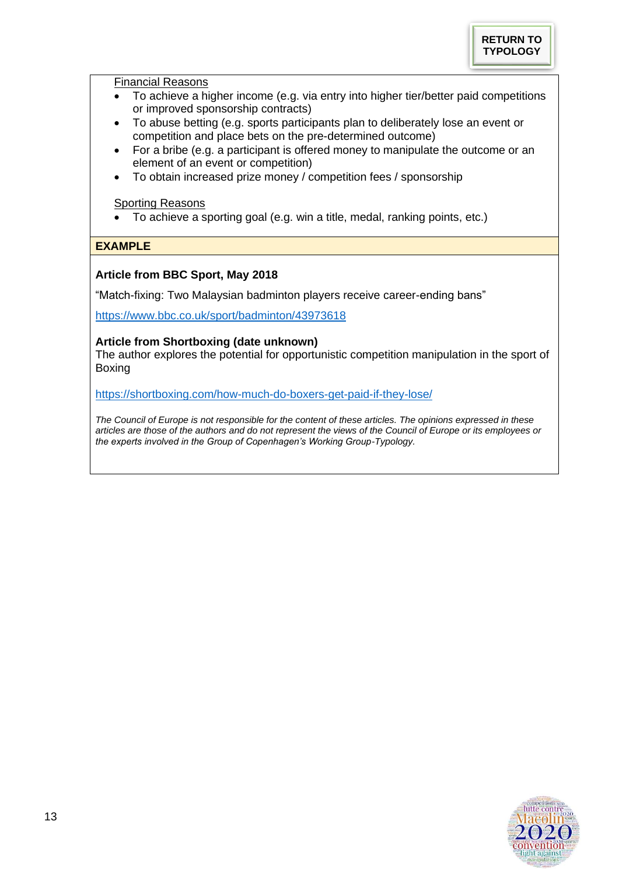

#### Financial Reasons

- To achieve a higher income (e.g. via entry into higher tier/better paid competitions or improved sponsorship contracts)
- To abuse betting (e.g. sports participants plan to deliberately lose an event or competition and place bets on the pre-determined outcome)
- For a bribe (e.g. a participant is offered money to manipulate the outcome or an element of an event or competition)
- To obtain increased prize money / competition fees / sponsorship

# **Sporting Reasons**

• To achieve a sporting goal (e.g. win a title, medal, ranking points, etc.)

# **EXAMPLE**

## **Article from BBC Sport, May 2018**

"Match-fixing: Two Malaysian badminton players receive career-ending bans"

<https://www.bbc.co.uk/sport/badminton/43973618>

## **Article from Shortboxing (date unknown)**

The author explores the potential for opportunistic competition manipulation in the sport of Boxing

<https://shortboxing.com/how-much-do-boxers-get-paid-if-they-lose/>

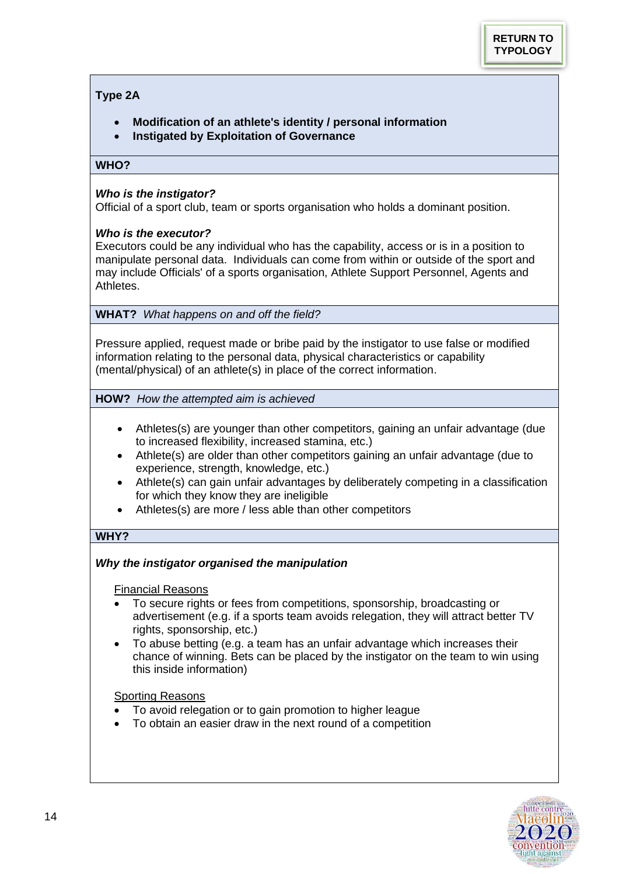# <span id="page-13-0"></span>**Type 2A**

- **Modification of an athlete's identity / personal information**
- **Instigated by Exploitation of Governance**

## **WHO?**

## *Who is the instigator?*

Official of a sport club, team or sports organisation who holds a dominant position.

## *Who is the executor?*

Executors could be any individual who has the capability, access or is in a position to manipulate personal data. Individuals can come from within or outside of the sport and may include Officials' of a sports organisation, Athlete Support Personnel, Agents and Athletes.

**WHAT?** *What happens on and off the field?*

Pressure applied, request made or bribe paid by the instigator to use false or modified information relating to the personal data, physical characteristics or capability (mental/physical) of an athlete(s) in place of the correct information.

**HOW?** *How the attempted aim is achieved* 

- Athletes(s) are younger than other competitors, gaining an unfair advantage (due to increased flexibility, increased stamina, etc.)
- Athlete(s) are older than other competitors gaining an unfair advantage (due to experience, strength, knowledge, etc.)
- Athlete(s) can gain unfair advantages by deliberately competing in a classification for which they know they are ineligible
- Athletes(s) are more / less able than other competitors

# **WHY?**

# *Why the instigator organised the manipulation*

Financial Reasons

- To secure rights or fees from competitions, sponsorship, broadcasting or advertisement (e.g. if a sports team avoids relegation, they will attract better TV rights, sponsorship, etc.)
- To abuse betting (e.g. a team has an unfair advantage which increases their chance of winning. Bets can be placed by the instigator on the team to win using this inside information)

## **Sporting Reasons**

- To avoid relegation or to gain promotion to higher league
- To obtain an easier draw in the next round of a competition

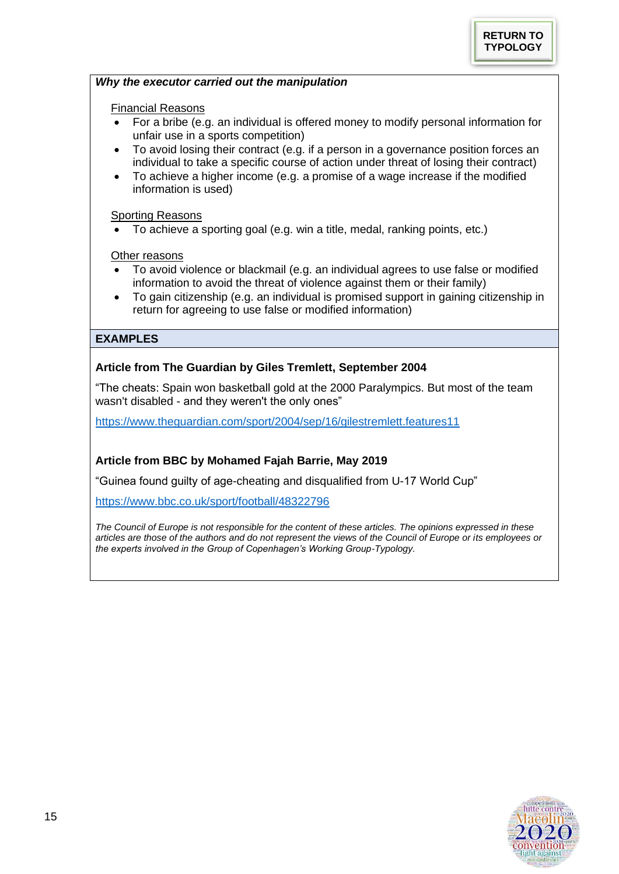#### *Why the executor carried out the manipulation*

## Financial Reasons

- For a bribe (e.g. an individual is offered money to modify personal information for unfair use in a sports competition)
- To avoid losing their contract (e.g. if a person in a governance position forces an individual to take a specific course of action under threat of losing their contract)
- To achieve a higher income (e.g. a promise of a wage increase if the modified information is used)

#### Sporting Reasons

• To achieve a sporting goal (e.g. win a title, medal, ranking points, etc.)

#### **Other reasons**

- To avoid violence or blackmail (e.g. an individual agrees to use false or modified information to avoid the threat of violence against them or their family)
- To gain citizenship (e.g. an individual is promised support in gaining citizenship in return for agreeing to use false or modified information)

## **EXAMPLES**

## **Article from The Guardian by Giles Tremlett, September 2004**

"The cheats: Spain won basketball gold at the 2000 Paralympics. But most of the team wasn't disabled - and they weren't the only ones"

<https://www.theguardian.com/sport/2004/sep/16/gilestremlett.features11>

## **Article from BBC by Mohamed Fajah Barrie, May 2019**

"Guinea found guilty of age-cheating and disqualified from U-17 World Cup"

<https://www.bbc.co.uk/sport/football/48322796>

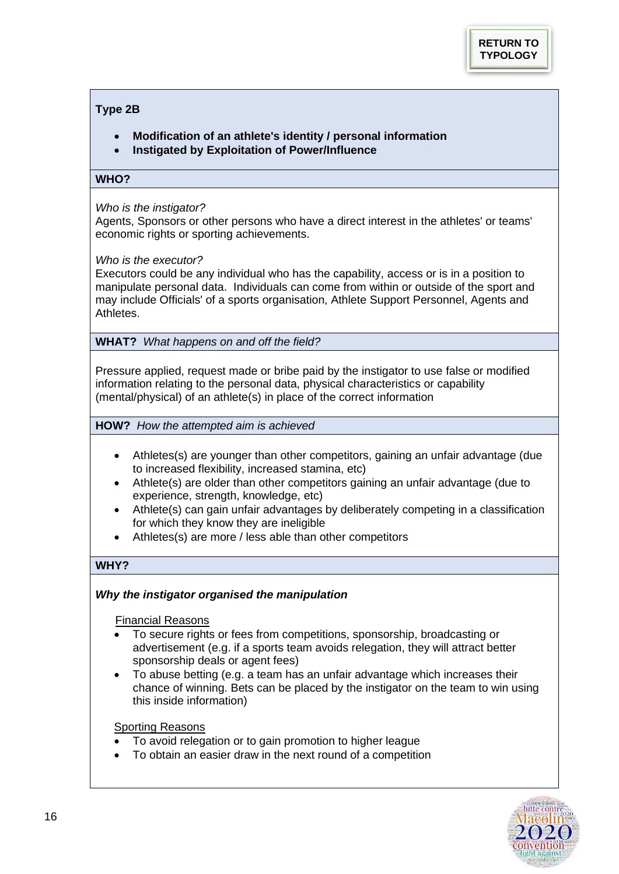## <span id="page-15-0"></span>**Type 2B**

- **Modification of an athlete's identity / personal information**
- **Instigated by Exploitation of Power/Influence**

#### WHO?

## *Who is the instigator?*

Agents, Sponsors or other persons who have a direct interest in the athletes' or teams' economic rights or sporting achievements.

## *Who is the executor?*

Executors could be any individual who has the capability, access or is in a position to manipulate personal data. Individuals can come from within or outside of the sport and may include Officials' of a sports organisation, Athlete Support Personnel, Agents and Athletes.

**WHAT?** *What happens on and off the field?*

Pressure applied, request made or bribe paid by the instigator to use false or modified information relating to the personal data, physical characteristics or capability (mental/physical) of an athlete(s) in place of the correct information

**HOW?** *How the attempted aim is achieved* 

- Athletes(s) are younger than other competitors, gaining an unfair advantage (due to increased flexibility, increased stamina, etc)
- Athlete(s) are older than other competitors gaining an unfair advantage (due to experience, strength, knowledge, etc)
- Athlete(s) can gain unfair advantages by deliberately competing in a classification for which they know they are ineligible
- Athletes(s) are more / less able than other competitors

# **WHY?**

## *Why the instigator organised the manipulation*

Financial Reasons

- To secure rights or fees from competitions, sponsorship, broadcasting or advertisement (e.g. if a sports team avoids relegation, they will attract better sponsorship deals or agent fees)
- To abuse betting (e.g. a team has an unfair advantage which increases their chance of winning. Bets can be placed by the instigator on the team to win using this inside information)

#### Sporting Reasons

- To avoid relegation or to gain promotion to higher league
- To obtain an easier draw in the next round of a competition

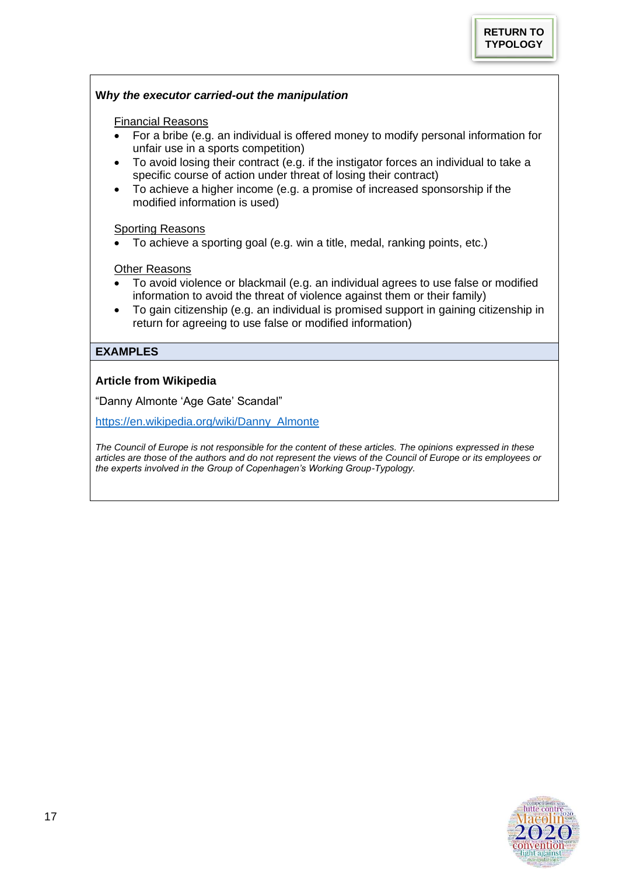## **W***hy the executor carried-out the manipulation*

#### Financial Reasons

- For a bribe (e.g. an individual is offered money to modify personal information for unfair use in a sports competition)
- To avoid losing their contract (e.g. if the instigator forces an individual to take a specific course of action under threat of losing their contract)
- To achieve a higher income (e.g. a promise of increased sponsorship if the modified information is used)

#### Sporting Reasons

• To achieve a sporting goal (e.g. win a title, medal, ranking points, etc.)

## Other Reasons

- To avoid violence or blackmail (e.g. an individual agrees to use false or modified information to avoid the threat of violence against them or their family)
- To gain citizenship (e.g. an individual is promised support in gaining citizenship in return for agreeing to use false or modified information)

## **EXAMPLES**

## **Article from Wikipedia**

"Danny Almonte 'Age Gate' Scandal"

[https://en.wikipedia.org/wiki/Danny\\_Almonte](https://en.wikipedia.org/wiki/Danny_Almonte)

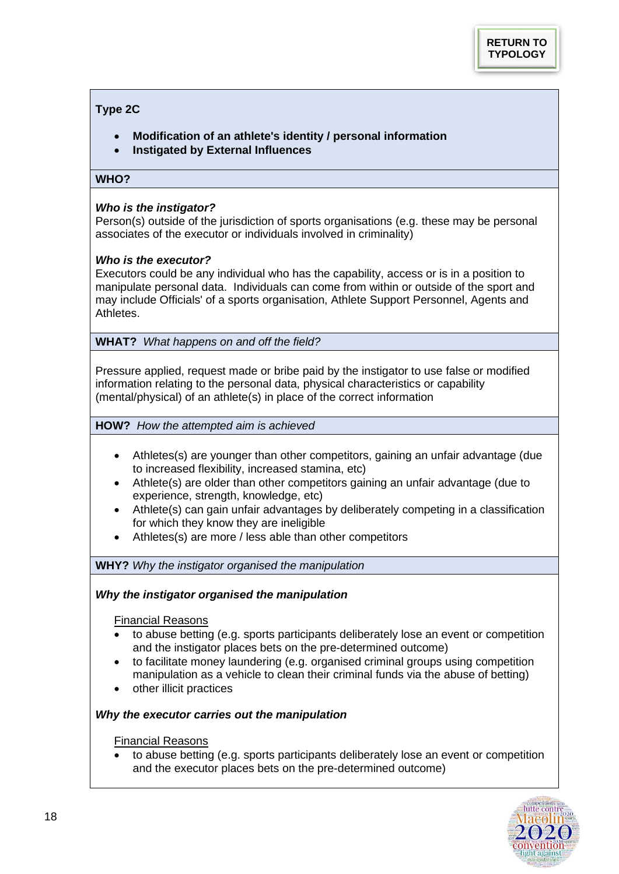## <span id="page-17-0"></span>**Type 2C**

- **Modification of an athlete's identity / personal information**
- **Instigated by External Influences**

## WHO?

## *Who is the instigator?*

Person(s) outside of the jurisdiction of sports organisations (e.g. these may be personal associates of the executor or individuals involved in criminality)

## *Who is the executor?*

Executors could be any individual who has the capability, access or is in a position to manipulate personal data. Individuals can come from within or outside of the sport and may include Officials' of a sports organisation, Athlete Support Personnel, Agents and Athletes.

**WHAT?** *What happens on and off the field?*

Pressure applied, request made or bribe paid by the instigator to use false or modified information relating to the personal data, physical characteristics or capability (mental/physical) of an athlete(s) in place of the correct information

**HOW?** *How the attempted aim is achieved* 

- Athletes(s) are younger than other competitors, gaining an unfair advantage (due to increased flexibility, increased stamina, etc)
- Athlete(s) are older than other competitors gaining an unfair advantage (due to experience, strength, knowledge, etc)
- Athlete(s) can gain unfair advantages by deliberately competing in a classification for which they know they are ineligible
- Athletes(s) are more / less able than other competitors

**WHY?** *Why the instigator organised the manipulation*

## *Why the instigator organised the manipulation*

Financial Reasons

- to abuse betting (e.g. sports participants deliberately lose an event or competition and the instigator places bets on the pre-determined outcome)
- to facilitate money laundering (e.g. organised criminal groups using competition manipulation as a vehicle to clean their criminal funds via the abuse of betting)
- other illicit practices

# *Why the executor carries out the manipulation*

Financial Reasons

• to abuse betting (e.g. sports participants deliberately lose an event or competition and the executor places bets on the pre-determined outcome)

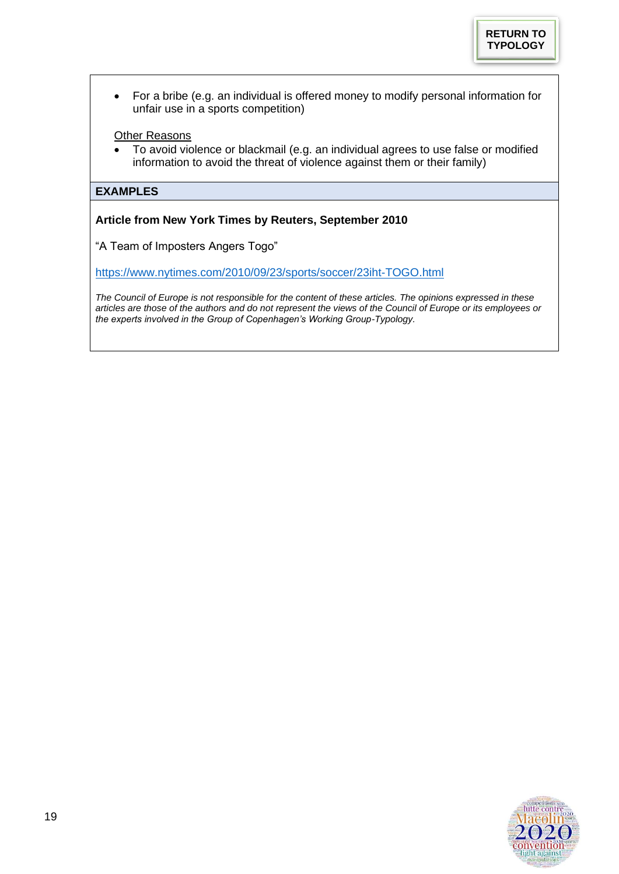• For a bribe (e.g. an individual is offered money to modify personal information for unfair use in a sports competition)

## Other Reasons

• To avoid violence or blackmail (e.g. an individual agrees to use false or modified information to avoid the threat of violence against them or their family)

## **EXAMPLES**

**Article from New York Times by Reuters, September 2010**

"A Team of Imposters Angers Togo"

<https://www.nytimes.com/2010/09/23/sports/soccer/23iht-TOGO.html>

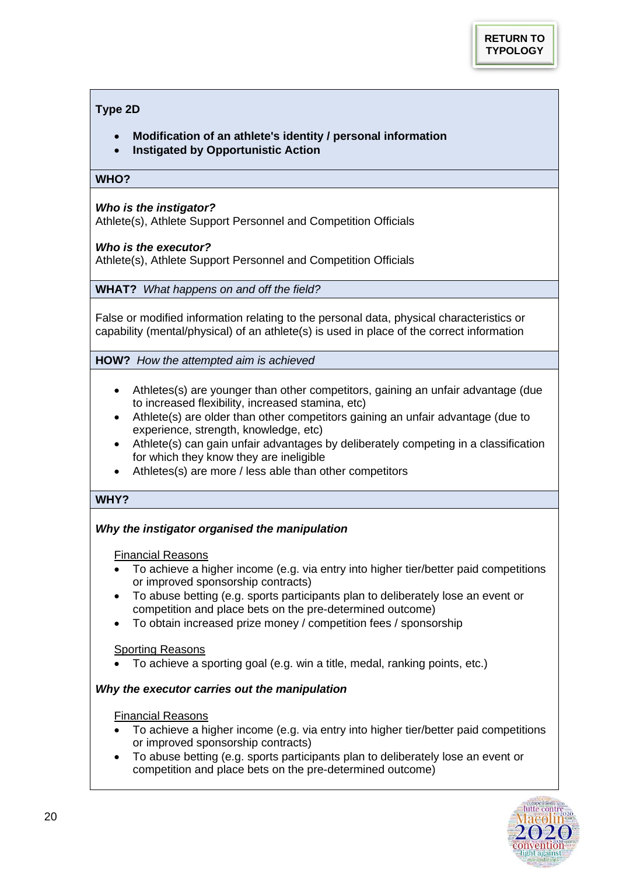## <span id="page-19-0"></span>**Type 2D**

- **Modification of an athlete's identity / personal information**
- **Instigated by Opportunistic Action**

#### WHO?

## *Who is the instigator?*

Athlete(s), Athlete Support Personnel and Competition Officials

## *Who is the executor?*

Athlete(s), Athlete Support Personnel and Competition Officials

**WHAT?** *What happens on and off the field?*

False or modified information relating to the personal data, physical characteristics or capability (mental/physical) of an athlete(s) is used in place of the correct information

**HOW?** *How the attempted aim is achieved* 

- Athletes(s) are younger than other competitors, gaining an unfair advantage (due to increased flexibility, increased stamina, etc)
- Athlete(s) are older than other competitors gaining an unfair advantage (due to experience, strength, knowledge, etc)
- Athlete(s) can gain unfair advantages by deliberately competing in a classification for which they know they are ineligible
- Athletes(s) are more / less able than other competitors

## **WHY?**

# *Why the instigator organised the manipulation*

## Financial Reasons

- To achieve a higher income (e.g. via entry into higher tier/better paid competitions or improved sponsorship contracts)
- To abuse betting (e.g. sports participants plan to deliberately lose an event or competition and place bets on the pre-determined outcome)
- To obtain increased prize money / competition fees / sponsorship

## Sporting Reasons

• To achieve a sporting goal (e.g. win a title, medal, ranking points, etc.)

# *Why the executor carries out the manipulation*

## Financial Reasons

- To achieve a higher income (e.g. via entry into higher tier/better paid competitions or improved sponsorship contracts)
- To abuse betting (e.g. sports participants plan to deliberately lose an event or competition and place bets on the pre-determined outcome)

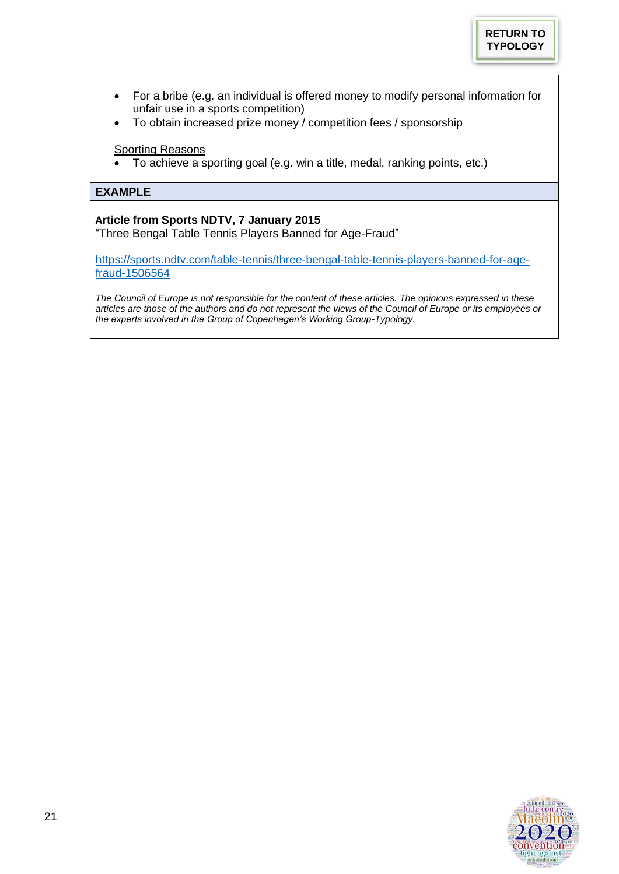- For a bribe (e.g. an individual is offered money to modify personal information for unfair use in a sports competition)
- To obtain increased prize money / competition fees / sponsorship

## **Sporting Reasons**

• To achieve a sporting goal (e.g. win a title, medal, ranking points, etc.)

## **EXAMPLE**

# **Article from Sports NDTV, 7 January 2015**

"Three Bengal Table Tennis Players Banned for Age-Fraud"

[https://sports.ndtv.com/table-tennis/three-bengal-table-tennis-players-banned-for-age](https://sports.ndtv.com/table-tennis/three-bengal-table-tennis-players-banned-for-age-fraud-1506564)[fraud-1506564](https://sports.ndtv.com/table-tennis/three-bengal-table-tennis-players-banned-for-age-fraud-1506564)

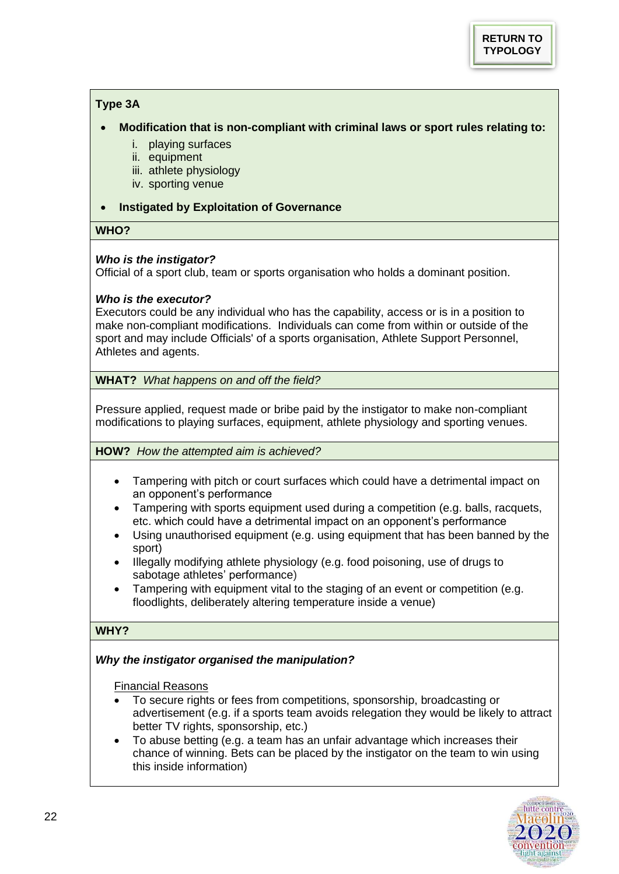# <span id="page-21-0"></span>**Type 3A**

- **Modification that is non-compliant with criminal laws or sport rules relating to:** 
	- i. playing surfaces
	- ii. equipment
	- iii. athlete physiology
	- iv. sporting venue

## • **Instigated by Exploitation of Governance**

# **WHO?**

# *Who is the instigator?*

Official of a sport club, team or sports organisation who holds a dominant position.

# *Who is the executor?*

Executors could be any individual who has the capability, access or is in a position to make non-compliant modifications. Individuals can come from within or outside of the sport and may include Officials' of a sports organisation, Athlete Support Personnel, Athletes and agents.

**WHAT?** *What happens on and off the field?*

Pressure applied, request made or bribe paid by the instigator to make non-compliant modifications to playing surfaces, equipment, athlete physiology and sporting venues.

**HOW?** *How the attempted aim is achieved?* 

- Tampering with pitch or court surfaces which could have a detrimental impact on an opponent's performance
- Tampering with sports equipment used during a competition (e.g. balls, racquets, etc. which could have a detrimental impact on an opponent's performance
- Using unauthorised equipment (e.g. using equipment that has been banned by the sport)
- Illegally modifying athlete physiology (e.g. food poisoning, use of drugs to sabotage athletes' performance)
- Tampering with equipment vital to the staging of an event or competition (e.g. floodlights, deliberately altering temperature inside a venue)

# **WHY?**

# *Why the instigator organised the manipulation?*

Financial Reasons

- To secure rights or fees from competitions, sponsorship, broadcasting or advertisement (e.g. if a sports team avoids relegation they would be likely to attract better TV rights, sponsorship, etc.)
- To abuse betting (e.g. a team has an unfair advantage which increases their chance of winning. Bets can be placed by the instigator on the team to win using this inside information)

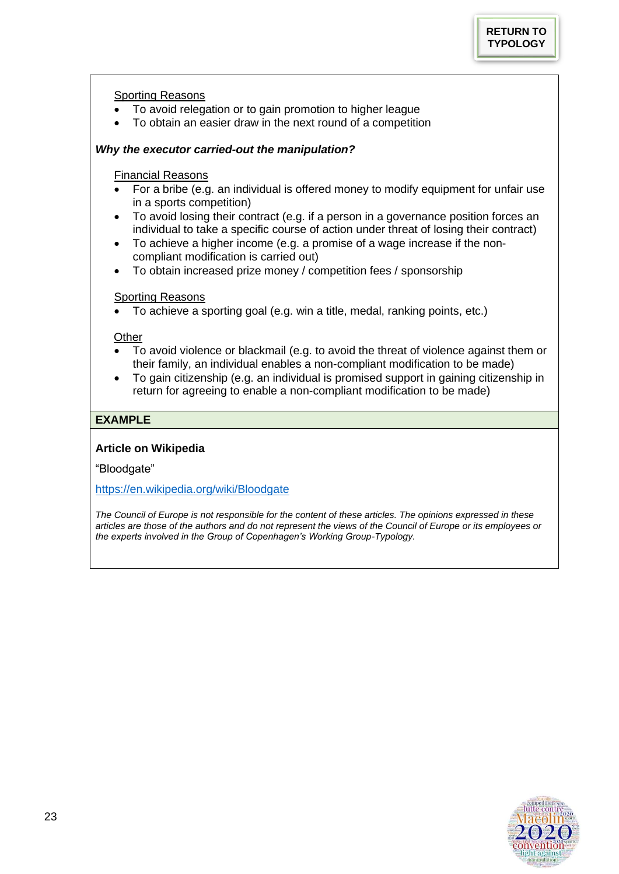## Sporting Reasons

- To avoid relegation or to gain promotion to higher league
- To obtain an easier draw in the next round of a competition

## *Why the executor carried-out the manipulation?*

## Financial Reasons

- For a bribe (e.g. an individual is offered money to modify equipment for unfair use in a sports competition)
- To avoid losing their contract (e.g. if a person in a governance position forces an individual to take a specific course of action under threat of losing their contract)
- To achieve a higher income (e.g. a promise of a wage increase if the noncompliant modification is carried out)
- To obtain increased prize money / competition fees / sponsorship

#### **Sporting Reasons**

• To achieve a sporting goal (e.g. win a title, medal, ranking points, etc.)

## **Other**

- To avoid violence or blackmail (e.g. to avoid the threat of violence against them or their family, an individual enables a non-compliant modification to be made)
- To gain citizenship (e.g. an individual is promised support in gaining citizenship in return for agreeing to enable a non-compliant modification to be made)

## **EXAMPLE**

## **Article on Wikipedia**

"Bloodgate"

<https://en.wikipedia.org/wiki/Bloodgate>

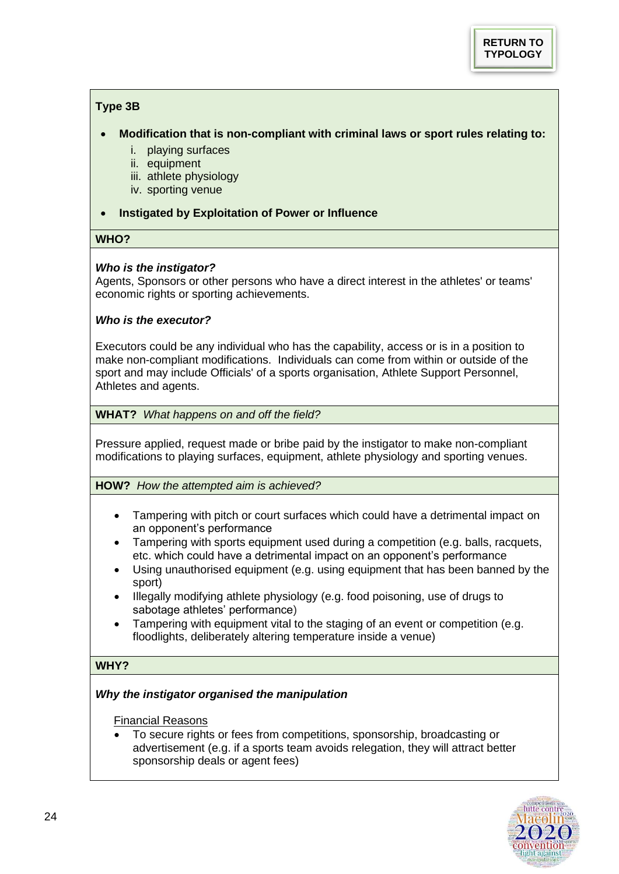# <span id="page-23-0"></span>**Type 3B**

- **Modification that is non-compliant with criminal laws or sport rules relating to:** 
	- i. playing surfaces
	- ii. equipment
	- iii. athlete physiology
	- iv. sporting venue
- **Instigated by Exploitation of Power or Influence**

## **WHO?**

# *Who is the instigator?*

Agents, Sponsors or other persons who have a direct interest in the athletes' or teams' economic rights or sporting achievements.

## *Who is the executor?*

Executors could be any individual who has the capability, access or is in a position to make non-compliant modifications. Individuals can come from within or outside of the sport and may include Officials' of a sports organisation, Athlete Support Personnel, Athletes and agents.

## **WHAT?** *What happens on and off the field?*

Pressure applied, request made or bribe paid by the instigator to make non-compliant modifications to playing surfaces, equipment, athlete physiology and sporting venues.

## **HOW?** *How the attempted aim is achieved?*

- Tampering with pitch or court surfaces which could have a detrimental impact on an opponent's performance
- Tampering with sports equipment used during a competition (e.g. balls, racquets, etc. which could have a detrimental impact on an opponent's performance
- Using unauthorised equipment (e.g. using equipment that has been banned by the sport)
- Illegally modifying athlete physiology (e.g. food poisoning, use of drugs to sabotage athletes' performance)
- Tampering with equipment vital to the staging of an event or competition (e.g. floodlights, deliberately altering temperature inside a venue)

# **WHY?**

# *Why the instigator organised the manipulation*

## Financial Reasons

• To secure rights or fees from competitions, sponsorship, broadcasting or advertisement (e.g. if a sports team avoids relegation, they will attract better sponsorship deals or agent fees)

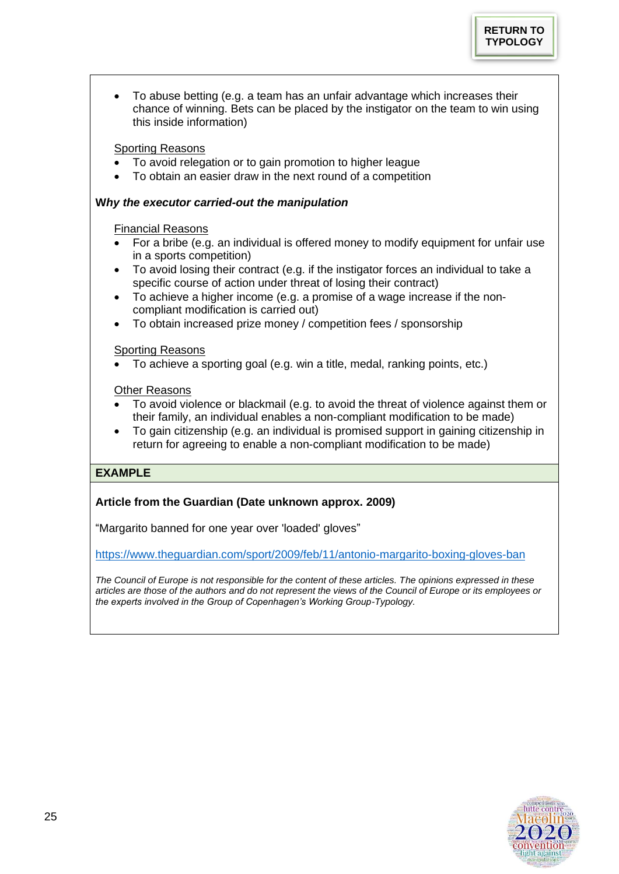• To abuse betting (e.g. a team has an unfair advantage which increases their chance of winning. Bets can be placed by the instigator on the team to win using this inside information)

# Sporting Reasons

- To avoid relegation or to gain promotion to higher league
- To obtain an easier draw in the next round of a competition

# **W***hy the executor carried-out the manipulation*

# Financial Reasons

- For a bribe (e.g. an individual is offered money to modify equipment for unfair use in a sports competition)
- To avoid losing their contract (e.g. if the instigator forces an individual to take a specific course of action under threat of losing their contract)
- To achieve a higher income (e.g. a promise of a wage increase if the noncompliant modification is carried out)
- To obtain increased prize money / competition fees / sponsorship

# Sporting Reasons

• To achieve a sporting goal (e.g. win a title, medal, ranking points, etc.)

# **Other Reasons**

- To avoid violence or blackmail (e.g. to avoid the threat of violence against them or their family, an individual enables a non-compliant modification to be made)
- To gain citizenship (e.g. an individual is promised support in gaining citizenship in return for agreeing to enable a non-compliant modification to be made)

# **EXAMPLE**

# **Article from the Guardian (Date unknown approx. 2009)**

"Margarito banned for one year over 'loaded' gloves"

<https://www.theguardian.com/sport/2009/feb/11/antonio-margarito-boxing-gloves-ban>

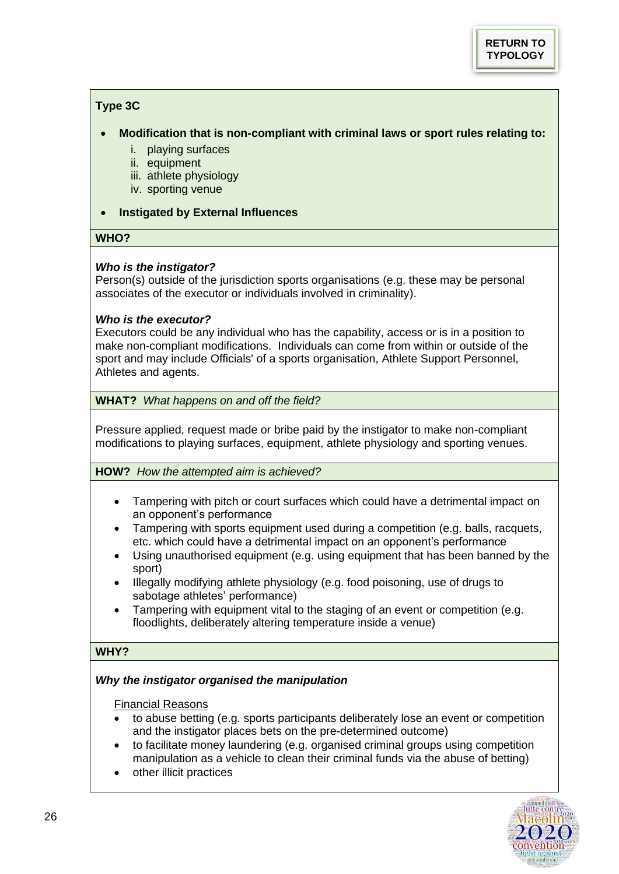# <span id="page-25-0"></span>**Type 3C**

- **Modification that is non-compliant with criminal laws or sport rules relating to:** 
	- i. playing surfaces
	- ii. equipment
	- iii. athlete physiology
	- iv. sporting venue

## • **Instigated by External Influences**

# **WHO?**

# *Who is the instigator?*

Person(s) outside of the jurisdiction sports organisations (e.g. these may be personal associates of the executor or individuals involved in criminality).

## *Who is the executor?*

Executors could be any individual who has the capability, access or is in a position to make non-compliant modifications. Individuals can come from within or outside of the sport and may include Officials' of a sports organisation, Athlete Support Personnel, Athletes and agents.

## **WHAT?** *What happens on and off the field?*

Pressure applied, request made or bribe paid by the instigator to make non-compliant modifications to playing surfaces, equipment, athlete physiology and sporting venues.

## **HOW?** *How the attempted aim is achieved?*

- Tampering with pitch or court surfaces which could have a detrimental impact on an opponent's performance
- Tampering with sports equipment used during a competition (e.g. balls, racquets, etc. which could have a detrimental impact on an opponent's performance
- Using unauthorised equipment (e.g. using equipment that has been banned by the sport)
- Illegally modifying athlete physiology (e.g. food poisoning, use of drugs to sabotage athletes' performance)
- Tampering with equipment vital to the staging of an event or competition (e.g. floodlights, deliberately altering temperature inside a venue)

## **WHY?**

## *Why the instigator organised the manipulation*

## Financial Reasons

- to abuse betting (e.g. sports participants deliberately lose an event or competition and the instigator places bets on the pre-determined outcome)
- to facilitate money laundering (e.g. organised criminal groups using competition manipulation as a vehicle to clean their criminal funds via the abuse of betting)
- other illicit practices

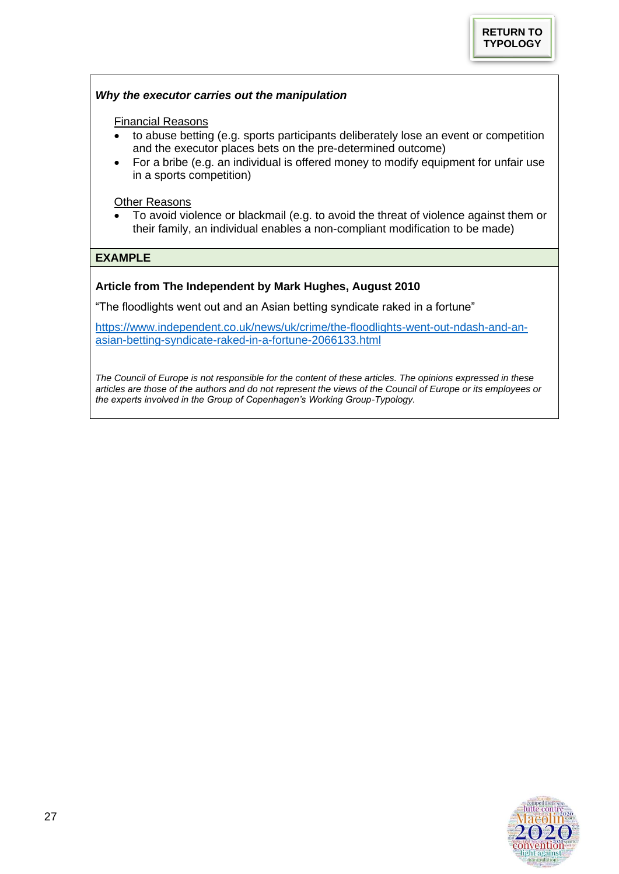## *Why the executor carries out the manipulation*

#### Financial Reasons

- to abuse betting (e.g. sports participants deliberately lose an event or competition and the executor places bets on the pre-determined outcome)
- For a bribe (e.g. an individual is offered money to modify equipment for unfair use in a sports competition)

**Other Reasons** 

• To avoid violence or blackmail (e.g. to avoid the threat of violence against them or their family, an individual enables a non-compliant modification to be made)

# **EXAMPLE**

## **Article from The Independent by Mark Hughes, August 2010**

"The floodlights went out and an Asian betting syndicate raked in a fortune"

[https://www.independent.co.uk/news/uk/crime/the-floodlights-went-out-ndash-and-an](https://www.independent.co.uk/news/uk/crime/the-floodlights-went-out-ndash-and-an-asian-betting-syndicate-raked-in-a-fortune-2066133.html)[asian-betting-syndicate-raked-in-a-fortune-2066133.html](https://www.independent.co.uk/news/uk/crime/the-floodlights-went-out-ndash-and-an-asian-betting-syndicate-raked-in-a-fortune-2066133.html)

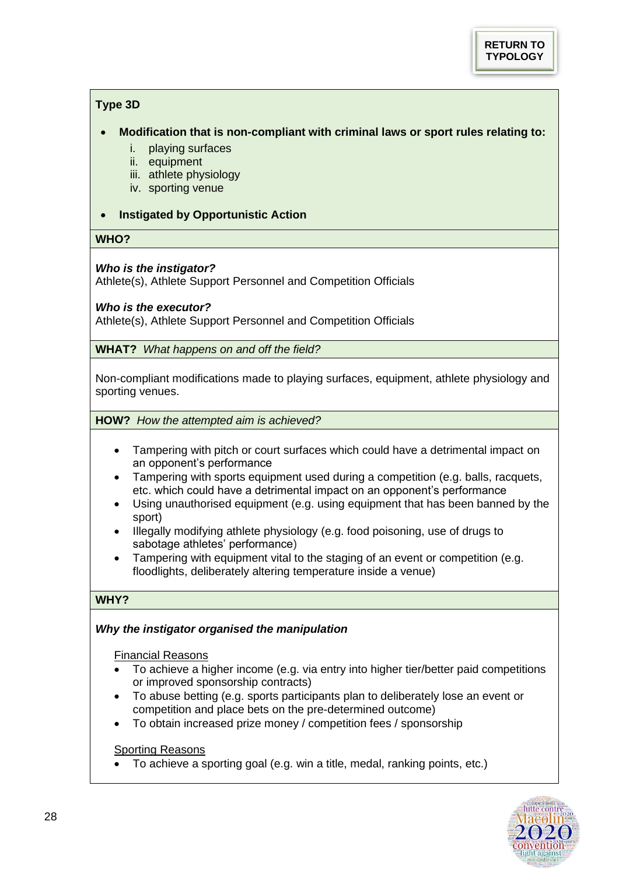# <span id="page-27-0"></span>**Type 3D**

## • **Modification that is non-compliant with criminal laws or sport rules relating to:**

- i. playing surfaces
- ii. equipment
- iii. athlete physiology
- iv. sporting venue
- **Instigated by Opportunistic Action**

## **WHO?**

# *Who is the instigator?*

Athlete(s), Athlete Support Personnel and Competition Officials

## *Who is the executor?*

Athlete(s), Athlete Support Personnel and Competition Officials

**WHAT?** *What happens on and off the field?*

Non-compliant modifications made to playing surfaces, equipment, athlete physiology and sporting venues.

**HOW?** *How the attempted aim is achieved?* 

- Tampering with pitch or court surfaces which could have a detrimental impact on an opponent's performance
- Tampering with sports equipment used during a competition (e.g. balls, racquets, etc. which could have a detrimental impact on an opponent's performance
- Using unauthorised equipment (e.g. using equipment that has been banned by the sport)
- Illegally modifying athlete physiology (e.g. food poisoning, use of drugs to sabotage athletes' performance)
- Tampering with equipment vital to the staging of an event or competition (e.g. floodlights, deliberately altering temperature inside a venue)

# **WHY?**

# *Why the instigator organised the manipulation*

Financial Reasons

- To achieve a higher income (e.g. via entry into higher tier/better paid competitions or improved sponsorship contracts)
- To abuse betting (e.g. sports participants plan to deliberately lose an event or competition and place bets on the pre-determined outcome)
- To obtain increased prize money / competition fees / sponsorship

## Sporting Reasons

• To achieve a sporting goal (e.g. win a title, medal, ranking points, etc.)

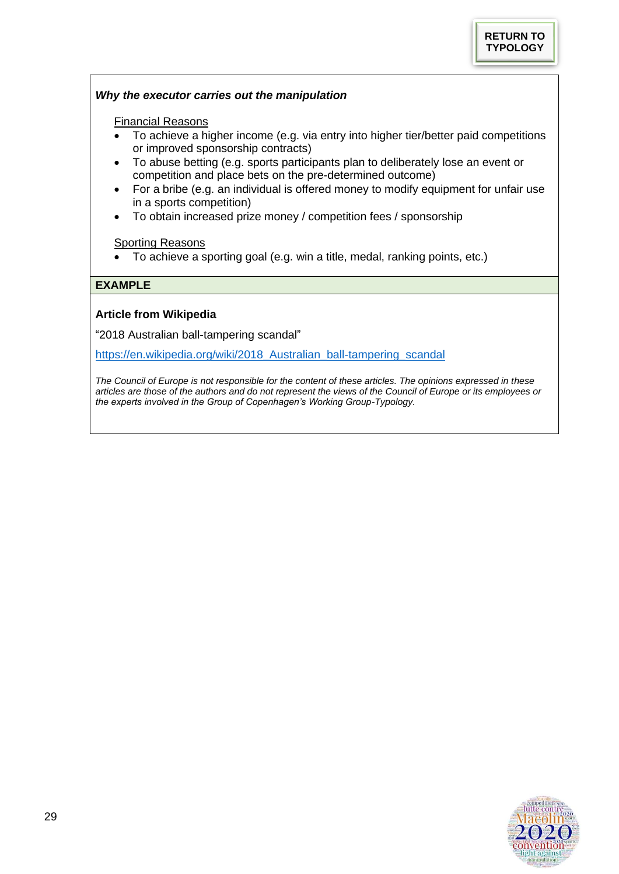## *Why the executor carries out the manipulation*

#### Financial Reasons

- To achieve a higher income (e.g. via entry into higher tier/better paid competitions or improved sponsorship contracts)
- To abuse betting (e.g. sports participants plan to deliberately lose an event or competition and place bets on the pre-determined outcome)
- For a bribe (e.g. an individual is offered money to modify equipment for unfair use in a sports competition)
- To obtain increased prize money / competition fees / sponsorship

## Sporting Reasons

• To achieve a sporting goal (e.g. win a title, medal, ranking points, etc.)

## **EXAMPLE**

## **Article from Wikipedia**

"2018 Australian ball-tampering scandal"

[https://en.wikipedia.org/wiki/2018\\_Australian\\_ball-tampering\\_scandal](https://en.wikipedia.org/wiki/2018_Australian_ball-tampering_scandal)

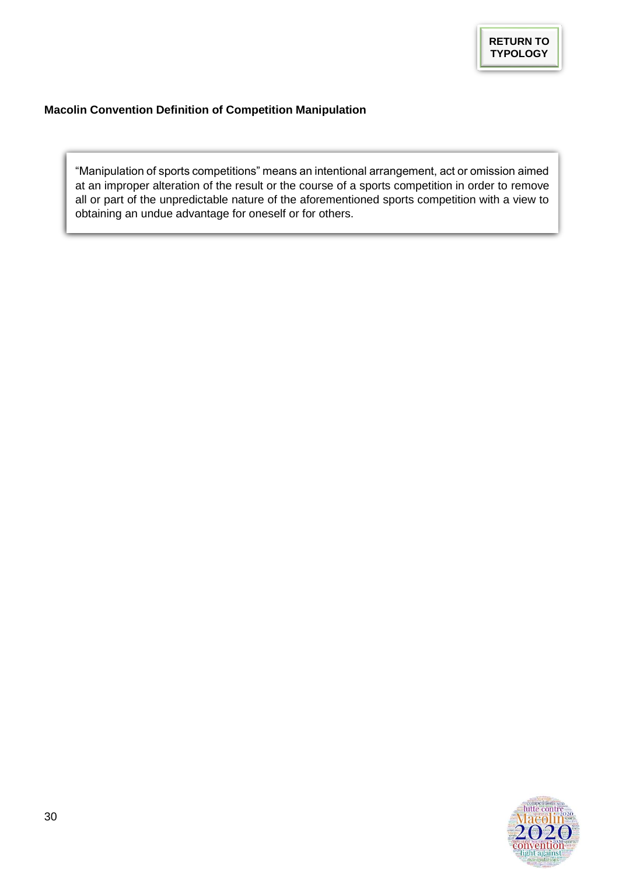# <span id="page-29-1"></span><span id="page-29-0"></span>**Macolin Convention Definition of Competition Manipulation**

"Manipulation of sports competitions" means an intentional arrangement, act or omission aimed at an improper alteration of the result or the course of a sports competition in order to remove all or part of the unpredictable nature of the aforementioned sports competition with a view to obtaining an undue advantage for oneself or for others.

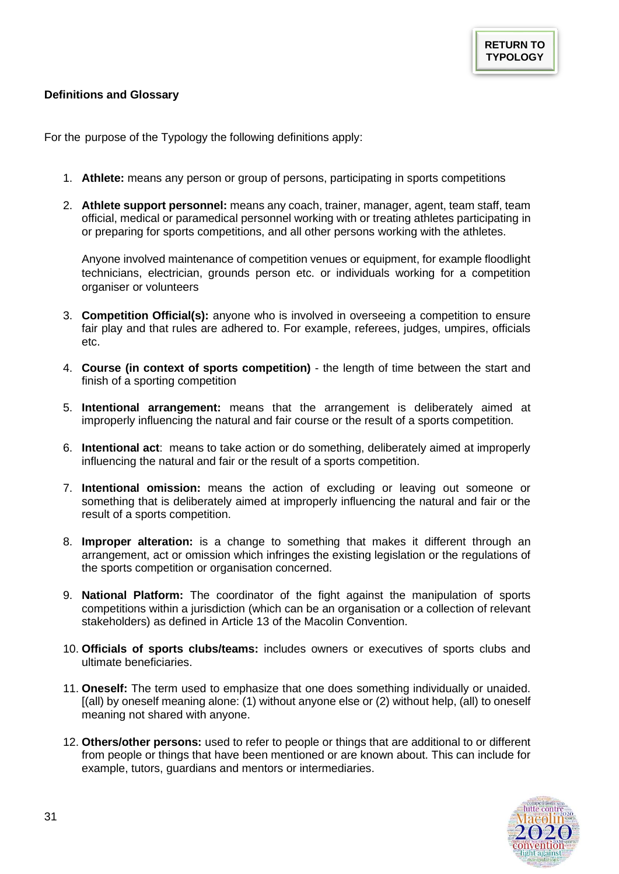## <span id="page-30-1"></span><span id="page-30-0"></span>**Definitions and Glossary**

For the purpose of the Typology the following definitions apply:

- 1. **Athlete:** means any person or group of persons, participating in sports competitions
- 2. **Athlete support personnel:** means any coach, trainer, manager, agent, team staff, team official, medical or paramedical personnel working with or treating athletes participating in or preparing for sports competitions, and all other persons working with the athletes.

Anyone involved maintenance of competition venues or equipment, for example floodlight technicians, electrician, grounds person etc. or individuals working for a competition organiser or volunteers

- 3. **Competition Official(s):** anyone who is involved in overseeing a competition to ensure fair play and that rules are adhered to. For example, referees, judges, umpires, officials etc.
- 4. **Course (in context of sports competition)** the length of time between the start and finish of a sporting competition
- 5. **Intentional arrangement:** means that the arrangement is deliberately aimed at improperly influencing the natural and fair course or the result of a sports competition.
- 6. **Intentional act**: means to take action or do something, deliberately aimed at improperly influencing the natural and fair or the result of a sports competition.
- 7. **Intentional omission:** means the action of excluding or leaving out someone or something that is deliberately aimed at improperly influencing the natural and fair or the result of a sports competition.
- 8. **Improper alteration:** is a change to something that makes it different through an arrangement, act or omission which infringes the existing legislation or the regulations of the sports competition or organisation concerned.
- 9. **National Platform:** The coordinator of the fight against the manipulation of sports competitions within a jurisdiction (which can be an organisation or a collection of relevant stakeholders) as defined in Article 13 of the Macolin Convention.
- 10. **Officials of sports clubs/teams:** includes owners or executives of sports clubs and ultimate beneficiaries.
- 11. **Oneself:** The term used to emphasize that one does something individually or unaided. [(all) by oneself meaning alone: (1) without anyone else or (2) without help, (all) to oneself meaning not shared with anyone.
- 12. **Others/other persons:** used to refer to people or things that are additional to or different from people or things that have been mentioned or are known about. This can include for example, tutors, guardians and mentors or intermediaries.